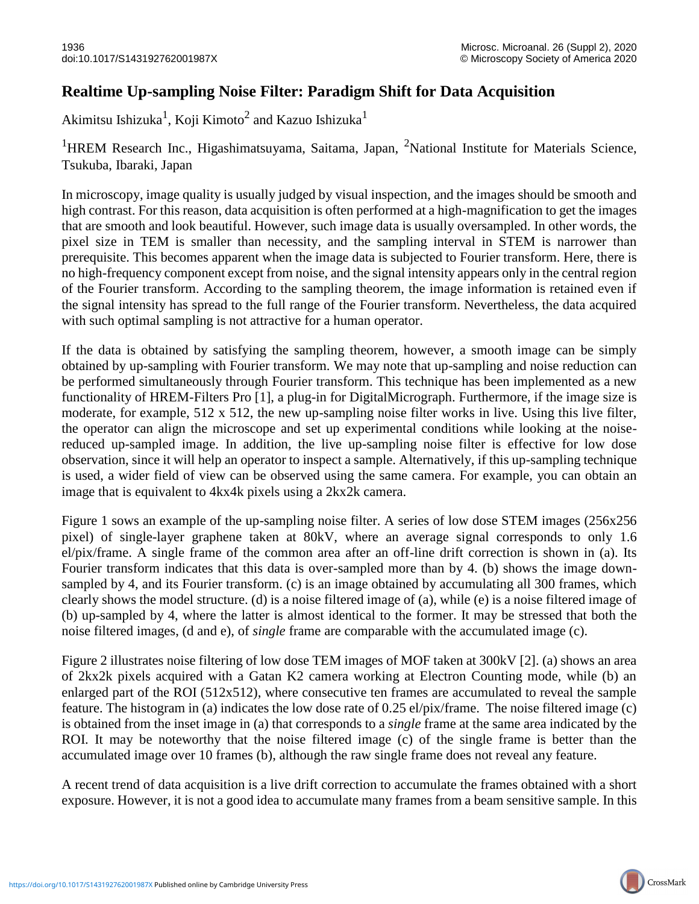## **Realtime Up-sampling Noise Filter: Paradigm Shift for Data Acquisition**

Akimitsu Ishizuka $^1$ , Koji Kimoto $^2$  and Kazuo Ishizuka $^1$ 

<sup>1</sup>HREM Research Inc., Higashimatsuyama, Saitama, Japan, <sup>2</sup>National Institute for Materials Science, Tsukuba, Ibaraki, Japan

In microscopy, image quality is usually judged by visual inspection, and the images should be smooth and high contrast. For this reason, data acquisition is often performed at a high-magnification to get the images that are smooth and look beautiful. However, such image data is usually oversampled. In other words, the pixel size in TEM is smaller than necessity, and the sampling interval in STEM is narrower than prerequisite. This becomes apparent when the image data is subjected to Fourier transform. Here, there is no high-frequency component except from noise, and the signal intensity appears only in the central region of the Fourier transform. According to the sampling theorem, the image information is retained even if the signal intensity has spread to the full range of the Fourier transform. Nevertheless, the data acquired with such optimal sampling is not attractive for a human operator.

If the data is obtained by satisfying the sampling theorem, however, a smooth image can be simply obtained by up-sampling with Fourier transform. We may note that up-sampling and noise reduction can be performed simultaneously through Fourier transform. This technique has been implemented as a new functionality of HREM-Filters Pro [1], a plug-in for DigitalMicrograph. Furthermore, if the image size is moderate, for example, 512 x 512, the new up-sampling noise filter works in live. Using this live filter, the operator can align the microscope and set up experimental conditions while looking at the noisereduced up-sampled image. In addition, the live up-sampling noise filter is effective for low dose observation, since it will help an operator to inspect a sample. Alternatively, if this up-sampling technique is used, a wider field of view can be observed using the same camera. For example, you can obtain an image that is equivalent to 4kx4k pixels using a 2kx2k camera.

Figure 1 sows an example of the up-sampling noise filter. A series of low dose STEM images (256x256 pixel) of single-layer graphene taken at 80kV, where an average signal corresponds to only 1.6 el/pix/frame. A single frame of the common area after an off-line drift correction is shown in (a). Its Fourier transform indicates that this data is over-sampled more than by 4. (b) shows the image downsampled by 4, and its Fourier transform. (c) is an image obtained by accumulating all 300 frames, which clearly shows the model structure. (d) is a noise filtered image of (a), while (e) is a noise filtered image of (b) up-sampled by 4, where the latter is almost identical to the former. It may be stressed that both the noise filtered images, (d and e), of *single* frame are comparable with the accumulated image (c).

Figure 2 illustrates noise filtering of low dose TEM images of MOF taken at 300kV [2]. (a) shows an area of 2kx2k pixels acquired with a Gatan K2 camera working at Electron Counting mode, while (b) an enlarged part of the ROI (512x512), where consecutive ten frames are accumulated to reveal the sample feature. The histogram in (a) indicates the low dose rate of 0.25 el/pix/frame. The noise filtered image (c) is obtained from the inset image in (a) that corresponds to a *single* frame at the same area indicated by the ROI. It may be noteworthy that the noise filtered image (c) of the single frame is better than the accumulated image over 10 frames (b), although the raw single frame does not reveal any feature.

A recent trend of data acquisition is a live drift correction to accumulate the frames obtained with a short exposure. However, it is not a good idea to accumulate many frames from a beam sensitive sample. In this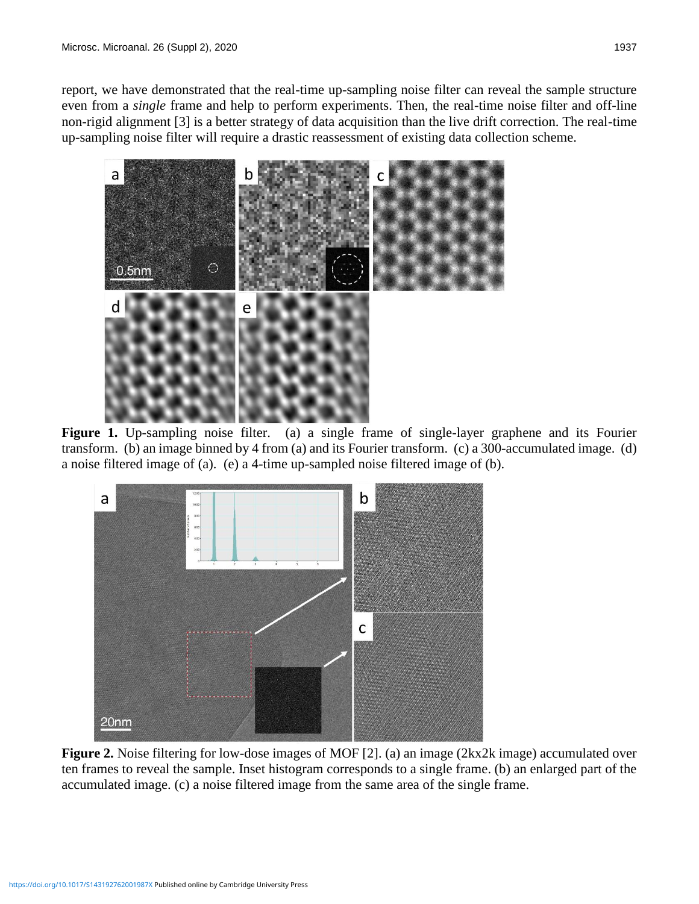report, we have demonstrated that the real-time up-sampling noise filter can reveal the sample structure even from a *single* frame and help to perform experiments. Then, the real-time noise filter and off-line non-rigid alignment [3] is a better strategy of data acquisition than the live drift correction. The real-time up-sampling noise filter will require a drastic reassessment of existing data collection scheme.



Figure 1. Up-sampling noise filter. (a) a single frame of single-layer graphene and its Fourier transform. (b) an image binned by 4 from (a) and its Fourier transform. (c) a 300-accumulated image. (d) a noise filtered image of (a). (e) a 4-time up-sampled noise filtered image of (b).



**Figure 2.** Noise filtering for low-dose images of MOF [2]. (a) an image (2kx2k image) accumulated over ten frames to reveal the sample. Inset histogram corresponds to a single frame. (b) an enlarged part of the accumulated image. (c) a noise filtered image from the same area of the single frame.